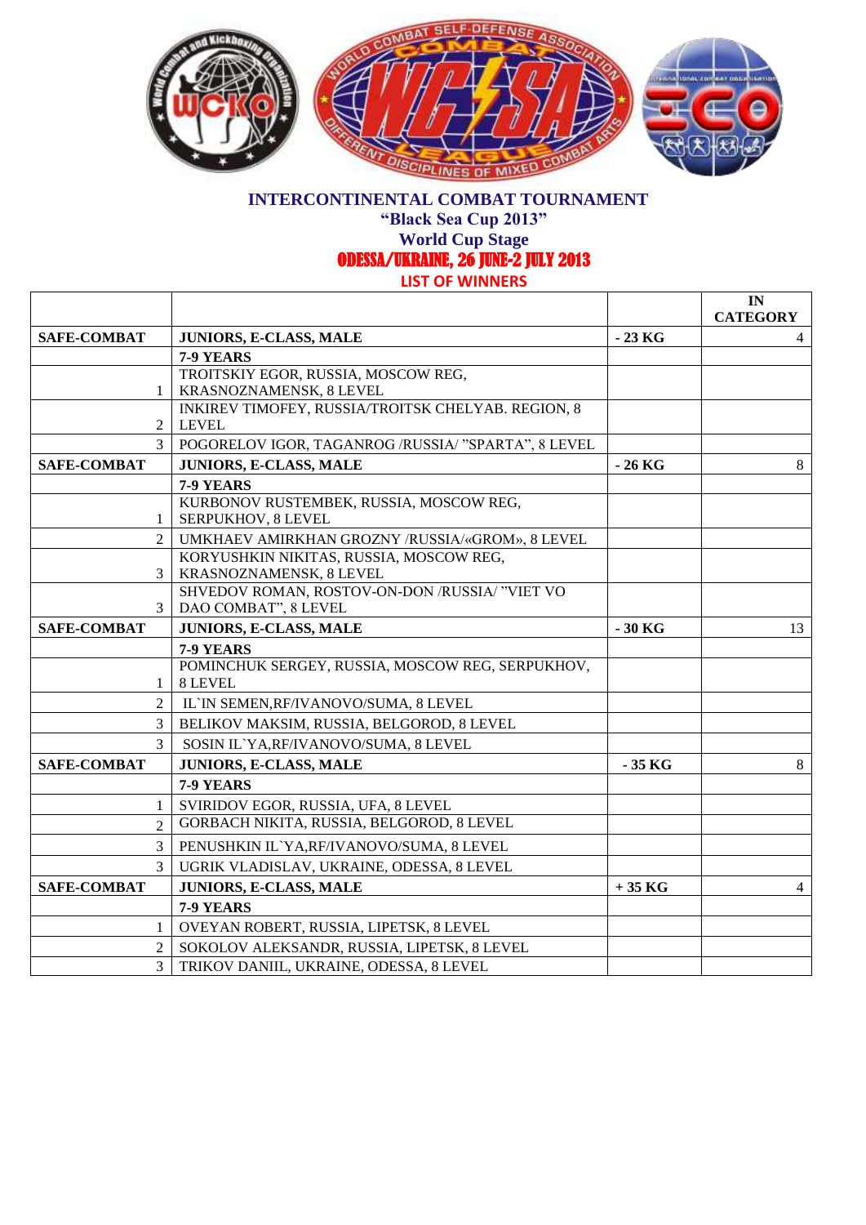

**"Black Sea Cup 2013"**

### **World Cup Stage**

ODESSA/UKRAINE, 26 JUNE-2 JULY 2013

|                    |                                                                           |          | IN<br><b>CATEGORY</b> |
|--------------------|---------------------------------------------------------------------------|----------|-----------------------|
| <b>SAFE-COMBAT</b> | JUNIORS, E-CLASS, MALE                                                    | $-23$ KG | $\overline{4}$        |
|                    | 7-9 YEARS                                                                 |          |                       |
|                    | TROITSKIY EGOR, RUSSIA, MOSCOW REG,                                       |          |                       |
| 1                  | KRASNOZNAMENSK, 8 LEVEL                                                   |          |                       |
|                    | INKIREV TIMOFEY, RUSSIA/TROITSK CHELYAB. REGION, 8                        |          |                       |
| 2                  | <b>LEVEL</b>                                                              |          |                       |
| 3                  | POGORELOV IGOR, TAGANROG /RUSSIA/ "SPARTA", 8 LEVEL                       |          |                       |
| <b>SAFE-COMBAT</b> | JUNIORS, E-CLASS, MALE                                                    | $-26$ KG | 8                     |
|                    | 7-9 YEARS                                                                 |          |                       |
|                    | KURBONOV RUSTEMBEK, RUSSIA, MOSCOW REG,                                   |          |                       |
| 1                  | SERPUKHOV, 8 LEVEL                                                        |          |                       |
| $\overline{2}$     | UMKHAEV AMIRKHAN GROZNY /RUSSIA/«GROM», 8 LEVEL                           |          |                       |
|                    | KORYUSHKIN NIKITAS, RUSSIA, MOSCOW REG,                                   |          |                       |
| 3                  | KRASNOZNAMENSK, 8 LEVEL<br>SHVEDOV ROMAN, ROSTOV-ON-DON /RUSSIA/ "VIET VO |          |                       |
| 3                  | DAO COMBAT", 8 LEVEL                                                      |          |                       |
| <b>SAFE-COMBAT</b> | JUNIORS, E-CLASS, MALE                                                    | $-30$ KG | 13                    |
|                    | 7-9 YEARS                                                                 |          |                       |
|                    | POMINCHUK SERGEY, RUSSIA, MOSCOW REG, SERPUKHOV,                          |          |                       |
| 1                  | 8 LEVEL                                                                   |          |                       |
| $\overline{c}$     | IL'IN SEMEN, RF/IVANOVO/SUMA, 8 LEVEL                                     |          |                       |
| 3                  | BELIKOV MAKSIM, RUSSIA, BELGOROD, 8 LEVEL                                 |          |                       |
| 3                  | SOSIN IL'YA, RF/IVANOVO/SUMA, 8 LEVEL                                     |          |                       |
| <b>SAFE-COMBAT</b> | <b>JUNIORS, E-CLASS, MALE</b>                                             | $-35$ KG | 8                     |
|                    | 7-9 YEARS                                                                 |          |                       |
| 1                  | SVIRIDOV EGOR, RUSSIA, UFA, 8 LEVEL                                       |          |                       |
| $\overline{2}$     | GORBACH NIKITA, RUSSIA, BELGOROD, 8 LEVEL                                 |          |                       |
| 3                  | PENUSHKIN IL'YA, RF/IVANOVO/SUMA, 8 LEVEL                                 |          |                       |
| 3                  | UGRIK VLADISLAV, UKRAINE, ODESSA, 8 LEVEL                                 |          |                       |
| <b>SAFE-COMBAT</b> | JUNIORS, E-CLASS, MALE                                                    | $+35$ KG | $\overline{4}$        |
|                    | 7-9 YEARS                                                                 |          |                       |
| 1                  | OVEYAN ROBERT, RUSSIA, LIPETSK, 8 LEVEL                                   |          |                       |
| $\overline{c}$     | SOKOLOV ALEKSANDR, RUSSIA, LIPETSK, 8 LEVEL                               |          |                       |
| 3                  | TRIKOV DANIIL, UKRAINE, ODESSA, 8 LEVEL                                   |          |                       |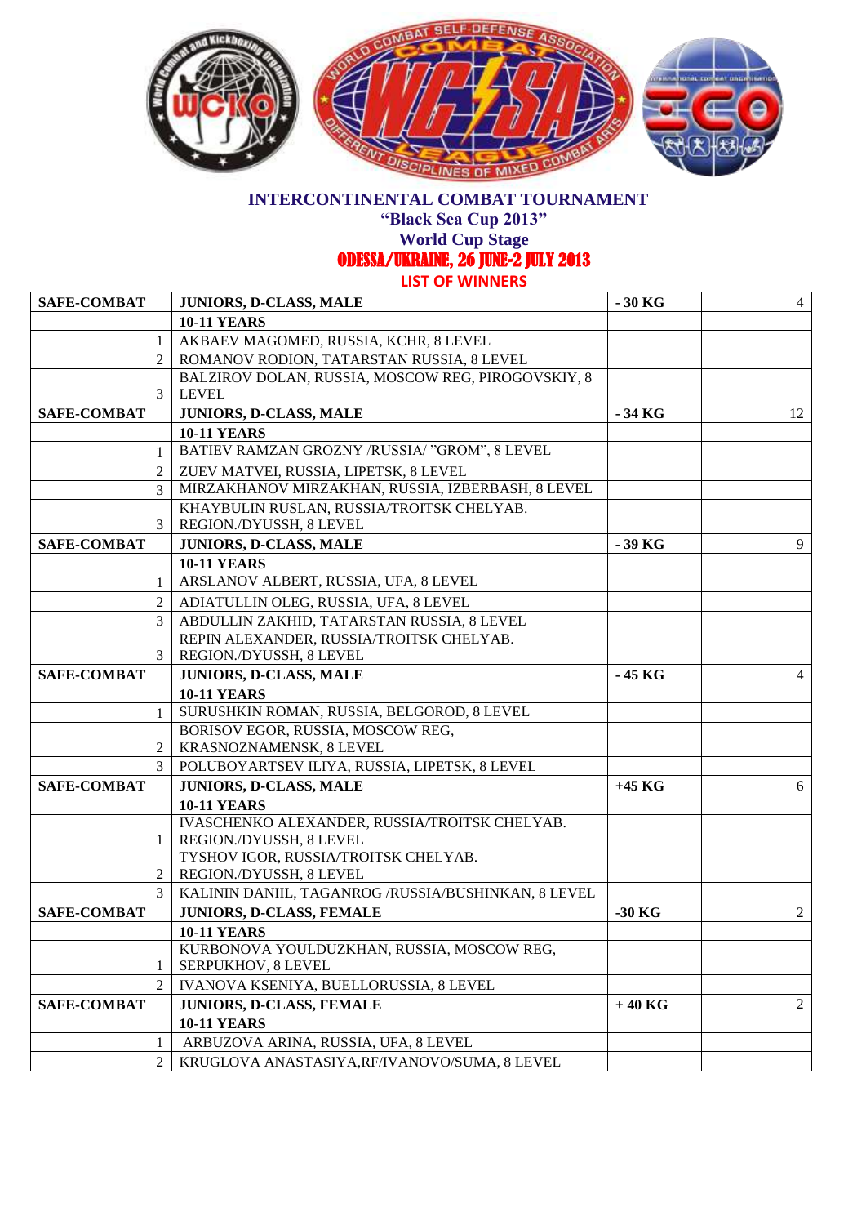

**"Black Sea Cup 2013"**

**World Cup Stage** 

ODESSA/UKRAINE, 26 JUNE-2 JULY 2013

| <b>SAFE-COMBAT</b> | <b>JUNIORS, D-CLASS, MALE</b>                                    | $-30$ KG | $\overline{4}$ |
|--------------------|------------------------------------------------------------------|----------|----------------|
|                    | <b>10-11 YEARS</b>                                               |          |                |
| 1                  | AKBAEV MAGOMED, RUSSIA, KCHR, 8 LEVEL                            |          |                |
| 2                  | ROMANOV RODION, TATARSTAN RUSSIA, 8 LEVEL                        |          |                |
|                    | BALZIROV DOLAN, RUSSIA, MOSCOW REG, PIROGOVSKIY, 8               |          |                |
| 3                  | <b>LEVEL</b>                                                     |          |                |
| <b>SAFE-COMBAT</b> | JUNIORS, D-CLASS, MALE                                           | $-34$ KG | 12             |
|                    | <b>10-11 YEARS</b>                                               |          |                |
| 1                  | BATIEV RAMZAN GROZNY /RUSSIA/ "GROM", 8 LEVEL                    |          |                |
| 2                  | ZUEV MATVEI, RUSSIA, LIPETSK, 8 LEVEL                            |          |                |
| 3                  | MIRZAKHANOV MIRZAKHAN, RUSSIA, IZBERBASH, 8 LEVEL                |          |                |
|                    | KHAYBULIN RUSLAN, RUSSIA/TROITSK CHELYAB.                        |          |                |
| 3                  | REGION./DYUSSH, 8 LEVEL                                          |          |                |
| SAFE-COMBAT        | JUNIORS, D-CLASS, MALE                                           | -39 KG   | 9              |
|                    | <b>10-11 YEARS</b>                                               |          |                |
| 1                  | ARSLANOV ALBERT, RUSSIA, UFA, 8 LEVEL                            |          |                |
| 2                  | ADIATULLIN OLEG, RUSSIA, UFA, 8 LEVEL                            |          |                |
| 3                  | ABDULLIN ZAKHID, TATARSTAN RUSSIA, 8 LEVEL                       |          |                |
|                    | REPIN ALEXANDER, RUSSIA/TROITSK CHELYAB.                         |          |                |
| 3                  | REGION./DYUSSH, 8 LEVEL                                          |          |                |
| <b>SAFE-COMBAT</b> | JUNIORS, D-CLASS, MALE                                           | - 45 KG  | 4              |
|                    | <b>10-11 YEARS</b>                                               |          |                |
| 1                  | SURUSHKIN ROMAN, RUSSIA, BELGOROD, 8 LEVEL                       |          |                |
|                    | BORISOV EGOR, RUSSIA, MOSCOW REG,                                |          |                |
| 2                  | KRASNOZNAMENSK, 8 LEVEL                                          |          |                |
| 3                  | POLUBOYARTSEV ILIYA, RUSSIA, LIPETSK, 8 LEVEL                    |          |                |
| <b>SAFE-COMBAT</b> | JUNIORS, D-CLASS, MALE                                           | $+45$ KG | 6              |
|                    | <b>10-11 YEARS</b>                                               |          |                |
|                    | IVASCHENKO ALEXANDER, RUSSIA/TROITSK CHELYAB.                    |          |                |
| $\mathbf{1}$       | REGION./DYUSSH, 8 LEVEL                                          |          |                |
| 2                  | TYSHOV IGOR, RUSSIA/TROITSK CHELYAB.<br>REGION./DYUSSH, 8 LEVEL  |          |                |
| 3                  |                                                                  |          |                |
|                    | KALININ DANIIL, TAGANROG/RUSSIA/BUSHINKAN, 8 LEVEL               |          |                |
| <b>SAFE-COMBAT</b> | JUNIORS, D-CLASS, FEMALE                                         | $-30$ KG | $\overline{2}$ |
|                    | <b>10-11 YEARS</b>                                               |          |                |
| 1                  | KURBONOVA YOULDUZKHAN, RUSSIA, MOSCOW REG,<br>SERPUKHOV, 8 LEVEL |          |                |
| $\overline{2}$     | IVANOVA KSENIYA, BUELLORUSSIA, 8 LEVEL                           |          |                |
|                    |                                                                  |          | 2              |
| <b>SAFE-COMBAT</b> | JUNIORS, D-CLASS, FEMALE                                         | $+40$ KG |                |
|                    | <b>10-11 YEARS</b>                                               |          |                |
| 1                  | ARBUZOVA ARINA, RUSSIA, UFA, 8 LEVEL                             |          |                |
| $\overline{2}$     | KRUGLOVA ANASTASIYA, RF/IVANOVO/SUMA, 8 LEVEL                    |          |                |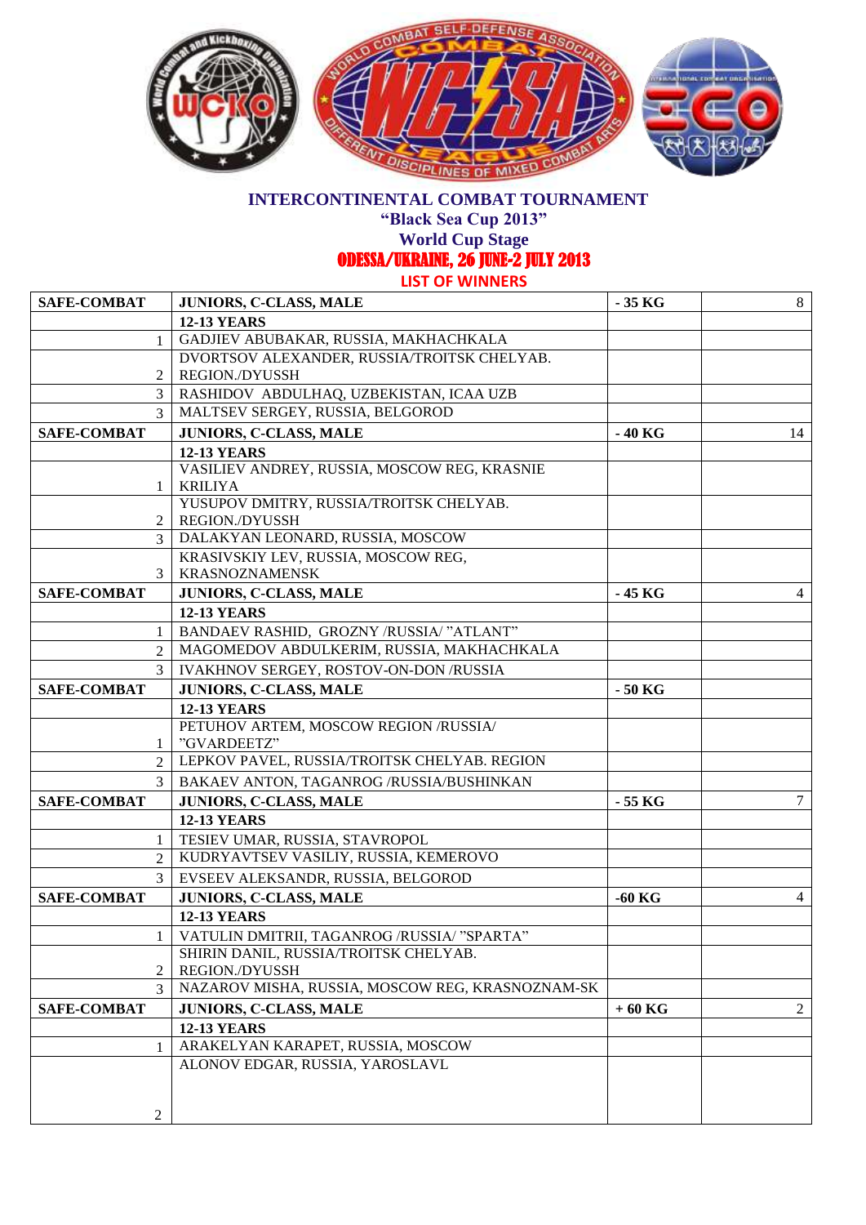

**"Black Sea Cup 2013"**

**World Cup Stage** 

ODESSA/UKRAINE, 26 JUNE-2 JULY 2013

| SAFE-COMBAT        | <b>JUNIORS, C-CLASS, MALE</b>                                             | $-35$ KG | 8              |
|--------------------|---------------------------------------------------------------------------|----------|----------------|
|                    | <b>12-13 YEARS</b>                                                        |          |                |
| $\mathbf{1}$       | GADJIEV ABUBAKAR, RUSSIA, MAKHACHKALA                                     |          |                |
|                    | DVORTSOV ALEXANDER, RUSSIA/TROITSK CHELYAB.                               |          |                |
| 2                  | <b>REGION./DYUSSH</b>                                                     |          |                |
| 3                  | RASHIDOV ABDULHAQ, UZBEKISTAN, ICAA UZB                                   |          |                |
| $\mathcal{E}$      | MALTSEV SERGEY, RUSSIA, BELGOROD                                          |          |                |
| <b>SAFE-COMBAT</b> | <b>JUNIORS, C-CLASS, MALE</b>                                             | - 40 KG  | 14             |
|                    | <b>12-13 YEARS</b>                                                        |          |                |
|                    | VASILIEV ANDREY, RUSSIA, MOSCOW REG, KRASNIE                              |          |                |
| 1                  | <b>KRILIYA</b><br>YUSUPOV DMITRY, RUSSIA/TROITSK CHELYAB.                 |          |                |
| 2                  | <b>REGION./DYUSSH</b>                                                     |          |                |
| $\mathfrak{Z}$     | DALAKYAN LEONARD, RUSSIA, MOSCOW                                          |          |                |
|                    | KRASIVSKIY LEV, RUSSIA, MOSCOW REG,                                       |          |                |
| 3                  | <b>KRASNOZNAMENSK</b>                                                     |          |                |
| <b>SAFE-COMBAT</b> | JUNIORS, C-CLASS, MALE                                                    | - 45 KG  | 4              |
|                    | <b>12-13 YEARS</b>                                                        |          |                |
| 1                  | BANDAEV RASHID, GROZNY /RUSSIA/ "ATLANT"                                  |          |                |
| 2                  | MAGOMEDOV ABDULKERIM, RUSSIA, MAKHACHKALA                                 |          |                |
| 3                  | IVAKHNOV SERGEY, ROSTOV-ON-DON /RUSSIA                                    |          |                |
| <b>SAFE-COMBAT</b> | JUNIORS, C-CLASS, MALE                                                    | $-50$ KG |                |
|                    | <b>12-13 YEARS</b>                                                        |          |                |
|                    | PETUHOV ARTEM, MOSCOW REGION /RUSSIA/                                     |          |                |
| 1                  | "GVARDEETZ"                                                               |          |                |
| 2                  | LEPKOV PAVEL, RUSSIA/TROITSK CHELYAB. REGION                              |          |                |
| 3                  | BAKAEV ANTON, TAGANROG /RUSSIA/BUSHINKAN                                  |          |                |
| <b>SAFE-COMBAT</b> | <b>JUNIORS, C-CLASS, MALE</b>                                             | - 55 KG  | 7              |
|                    | <b>12-13 YEARS</b>                                                        |          |                |
| 1                  | TESIEV UMAR, RUSSIA, STAVROPOL                                            |          |                |
| 2                  | KUDRYAVTSEV VASILIY, RUSSIA, KEMEROVO                                     |          |                |
| 3                  | EVSEEV ALEKSANDR, RUSSIA, BELGOROD                                        |          |                |
| <b>SAFE-COMBAT</b> | <b>JUNIORS, C-CLASS, MALE</b>                                             | $-60$ KG | $\overline{4}$ |
|                    | <b>12-13 YEARS</b>                                                        |          |                |
| 1                  | VATULIN DMITRII, TAGANROG /RUSSIA/ "SPARTA"                               |          |                |
|                    | SHIRIN DANIL, RUSSIA/TROITSK CHELYAB.                                     |          |                |
| 2<br>3             | <b>REGION./DYUSSH</b><br>NAZAROV MISHA, RUSSIA, MOSCOW REG, KRASNOZNAM-SK |          |                |
|                    |                                                                           |          | $\overline{2}$ |
| <b>SAFE-COMBAT</b> | <b>JUNIORS, C-CLASS, MALE</b><br><b>12-13 YEARS</b>                       | $+60$ KG |                |
| 1                  | ARAKELYAN KARAPET, RUSSIA, MOSCOW                                         |          |                |
|                    | ALONOV EDGAR, RUSSIA, YAROSLAVL                                           |          |                |
|                    |                                                                           |          |                |
|                    |                                                                           |          |                |
| $\overline{c}$     |                                                                           |          |                |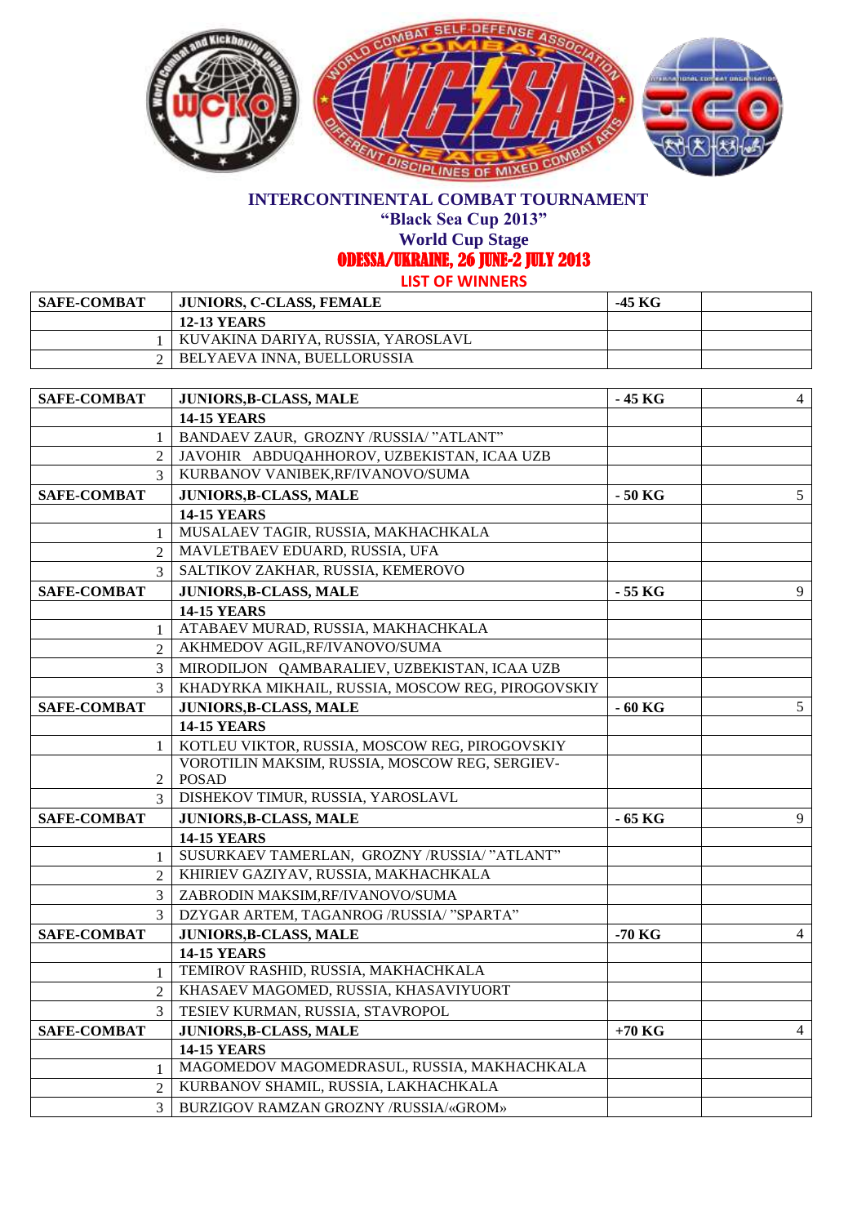

**"Black Sea Cup 2013"**

**World Cup Stage** 

ODESSA/UKRAINE, 26 JUNE-2 JULY 2013

| <b>SAFE-COMBAT</b> | <b>JUNIORS, C-CLASS, FEMALE</b>      | -45 KG |  |
|--------------------|--------------------------------------|--------|--|
|                    | <b>12-13 YEARS</b>                   |        |  |
|                    | ' KUVAKINA DARIYA, RUSSIA, YAROSLAVL |        |  |
|                    | BELYAEVA INNA, BUELLORUSSIA          |        |  |

| <b>SAFE-COMBAT</b> | JUNIORS, B-CLASS, MALE                            | $-45$ KG | $\overline{4}$  |
|--------------------|---------------------------------------------------|----------|-----------------|
|                    | <b>14-15 YEARS</b>                                |          |                 |
| $\mathbf{1}$       | BANDAEV ZAUR, GROZNY /RUSSIA/ "ATLANT"            |          |                 |
| 2                  | JAVOHIR ABDUQAHHOROV, UZBEKISTAN, ICAA UZB        |          |                 |
| $\mathcal{E}$      | KURBANOV VANIBEK, RF/IVANOVO/SUMA                 |          |                 |
| <b>SAFE-COMBAT</b> | <b>JUNIORS, B-CLASS, MALE</b>                     | - 50 KG  | $5\overline{)}$ |
|                    | <b>14-15 YEARS</b>                                |          |                 |
| 1                  | MUSALAEV TAGIR, RUSSIA, MAKHACHKALA               |          |                 |
| $\mathfrak{D}$     | MAVLETBAEV EDUARD, RUSSIA, UFA                    |          |                 |
| $\mathcal{F}$      | SALTIKOV ZAKHAR, RUSSIA, KEMEROVO                 |          |                 |
| <b>SAFE-COMBAT</b> | JUNIORS, B-CLASS, MALE                            | $-55$ KG | 9               |
|                    | <b>14-15 YEARS</b>                                |          |                 |
| 1                  | ATABAEV MURAD, RUSSIA, MAKHACHKALA                |          |                 |
| $\mathfrak{D}$     | AKHMEDOV AGIL, RF/IVANOVO/SUMA                    |          |                 |
| 3                  | MIRODILJON QAMBARALIEV, UZBEKISTAN, ICAA UZB      |          |                 |
| 3                  | KHADYRKA MIKHAIL, RUSSIA, MOSCOW REG, PIROGOVSKIY |          |                 |
| <b>SAFE-COMBAT</b> | <b>JUNIORS, B-CLASS, MALE</b>                     | $-60$ KG | 5               |
|                    | <b>14-15 YEARS</b>                                |          |                 |
| 1                  | KOTLEU VIKTOR, RUSSIA, MOSCOW REG, PIROGOVSKIY    |          |                 |
|                    | VOROTILIN MAKSIM, RUSSIA, MOSCOW REG, SERGIEV-    |          |                 |
| 2                  | <b>POSAD</b>                                      |          |                 |
| $\mathcal{E}$      | DISHEKOV TIMUR, RUSSIA, YAROSLAVL                 |          |                 |
| <b>SAFE-COMBAT</b> | JUNIORS, B-CLASS, MALE                            | $-65$ KG | 9               |
|                    | <b>14-15 YEARS</b>                                |          |                 |
| 1                  | SUSURKAEV TAMERLAN, GROZNY /RUSSIA/ "ATLANT"      |          |                 |
| $\mathfrak{D}$     | KHIRIEV GAZIYAV, RUSSIA, MAKHACHKALA              |          |                 |
| 3                  | ZABRODIN MAKSIM,RF/IVANOVO/SUMA                   |          |                 |
| 3                  | DZYGAR ARTEM, TAGANROG /RUSSIA/ "SPARTA"          |          |                 |
| <b>SAFE-COMBAT</b> | JUNIORS, B-CLASS, MALE                            | -70 KG   | $\overline{4}$  |
|                    | <b>14-15 YEARS</b>                                |          |                 |
| $\mathbf{1}$       | TEMIROV RASHID, RUSSIA, MAKHACHKALA               |          |                 |
| $\overline{2}$     | KHASAEV MAGOMED, RUSSIA, KHASAVIYUORT             |          |                 |
| $\mathcal{E}$      | TESIEV KURMAN, RUSSIA, STAVROPOL                  |          |                 |
| <b>SAFE-COMBAT</b> | JUNIORS, B-CLASS, MALE                            | $+70$ KG | $\overline{4}$  |
|                    | <b>14-15 YEARS</b>                                |          |                 |
| 1                  | MAGOMEDOV MAGOMEDRASUL, RUSSIA, MAKHACHKALA       |          |                 |
| $\overline{2}$     | KURBANOV SHAMIL, RUSSIA, LAKHACHKALA              |          |                 |
| $\mathfrak{Z}$     | BURZIGOV RAMZAN GROZNY /RUSSIA/«GROM»             |          |                 |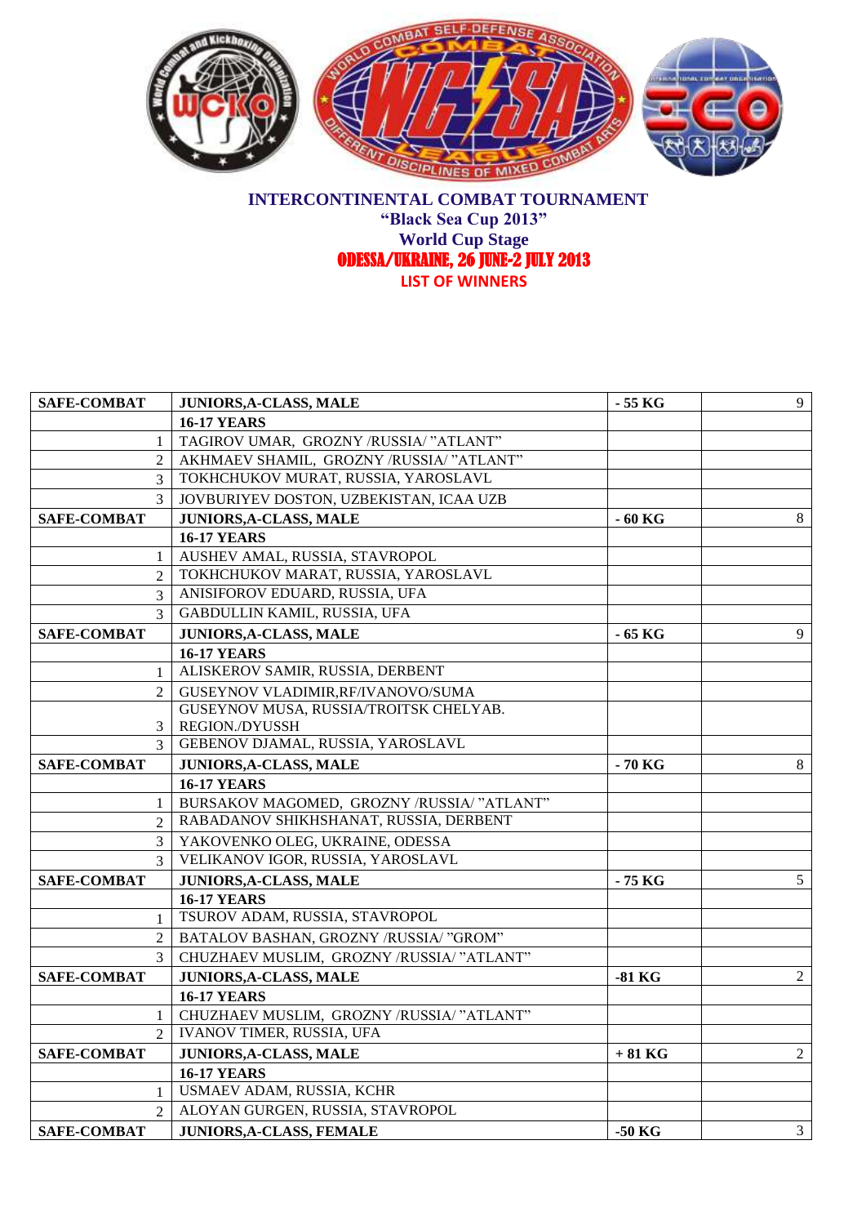

#### **INTERCONTINENTAL COMBAT TOURNAMENT "Black Sea Cup 2013" World Cup Stage**  ODESSA/UKRAINE, 26 JUNE-2 JULY 2013 **LIST OF WINNERS**

| <b>SAFE-COMBAT</b>          | JUNIORS, A-CLASS, MALE                     | $-55$ KG | 9              |
|-----------------------------|--------------------------------------------|----------|----------------|
|                             | <b>16-17 YEARS</b>                         |          |                |
| 1                           | TAGIROV UMAR, GROZNY /RUSSIA/ "ATLANT"     |          |                |
| 2                           | AKHMAEV SHAMIL, GROZNY /RUSSIA/ "ATLANT"   |          |                |
| $\mathfrak{Z}$              | TOKHCHUKOV MURAT, RUSSIA, YAROSLAVL        |          |                |
| $\mathcal{E}$               | JOVBURIYEV DOSTON, UZBEKISTAN, ICAA UZB    |          |                |
| <b>SAFE-COMBAT</b>          | JUNIORS, A-CLASS, MALE                     | $-60$ KG | 8              |
|                             | <b>16-17 YEARS</b>                         |          |                |
| 1                           | AUSHEV AMAL, RUSSIA, STAVROPOL             |          |                |
| 2                           | TOKHCHUKOV MARAT, RUSSIA, YAROSLAVL        |          |                |
| 3                           | ANISIFOROV EDUARD, RUSSIA, UFA             |          |                |
| 3                           | GABDULLIN KAMIL, RUSSIA, UFA               |          |                |
| <b>SAFE-COMBAT</b>          | JUNIORS, A-CLASS, MALE                     | - 65 KG  | 9              |
|                             | <b>16-17 YEARS</b>                         |          |                |
| 1                           | ALISKEROV SAMIR, RUSSIA, DERBENT           |          |                |
| 2                           | GUSEYNOV VLADIMIR, RF/IVANOVO/SUMA         |          |                |
|                             | GUSEYNOV MUSA, RUSSIA/TROITSK CHELYAB.     |          |                |
| 3                           | REGION./DYUSSH                             |          |                |
| $\mathcal{F}$               | GEBENOV DJAMAL, RUSSIA, YAROSLAVL          |          |                |
| <b>SAFE-COMBAT</b>          | JUNIORS, A-CLASS, MALE                     | - 70 KG  | 8              |
|                             | <b>16-17 YEARS</b>                         |          |                |
| 1                           | BURSAKOV MAGOMED, GROZNY /RUSSIA/ "ATLANT" |          |                |
| $\mathfrak{D}$              | RABADANOV SHIKHSHANAT, RUSSIA, DERBENT     |          |                |
| 3                           | YAKOVENKO OLEG, UKRAINE, ODESSA            |          |                |
| $\mathcal{R}$               | VELIKANOV IGOR, RUSSIA, YAROSLAVL          |          |                |
| <b>SAFE-COMBAT</b>          | JUNIORS, A-CLASS, MALE                     | - 75 KG  | 5              |
|                             | <b>16-17 YEARS</b>                         |          |                |
| $\mathbf{1}$                | TSUROV ADAM, RUSSIA, STAVROPOL             |          |                |
| 2                           | BATALOV BASHAN, GROZNY /RUSSIA/ "GROM"     |          |                |
| 3                           | CHUZHAEV MUSLIM, GROZNY /RUSSIA/ "ATLANT"  |          |                |
| <b>SAFE-COMBAT</b>          | JUNIORS, A-CLASS, MALE                     | $-81$ KG | $\overline{2}$ |
|                             | <b>16-17 YEARS</b>                         |          |                |
| -1                          | CHUZHAEV MUSLIM, GROZNY /RUSSIA/ "ATLANT"  |          |                |
| $\mathcal{D}_{\mathcal{L}}$ | <b>IVANOV TIMER, RUSSIA, UFA</b>           |          |                |
| <b>SAFE-COMBAT</b>          | <b>JUNIORS, A-CLASS, MALE</b>              | $+81$ KG | $\overline{2}$ |
|                             | <b>16-17 YEARS</b>                         |          |                |
| $\mathbf{1}$                | USMAEV ADAM, RUSSIA, KCHR                  |          |                |
| $\mathfrak{D}$              | ALOYAN GURGEN, RUSSIA, STAVROPOL           |          |                |
| <b>SAFE-COMBAT</b>          | JUNIORS, A-CLASS, FEMALE                   | $-50$ KG | 3 <sup>7</sup> |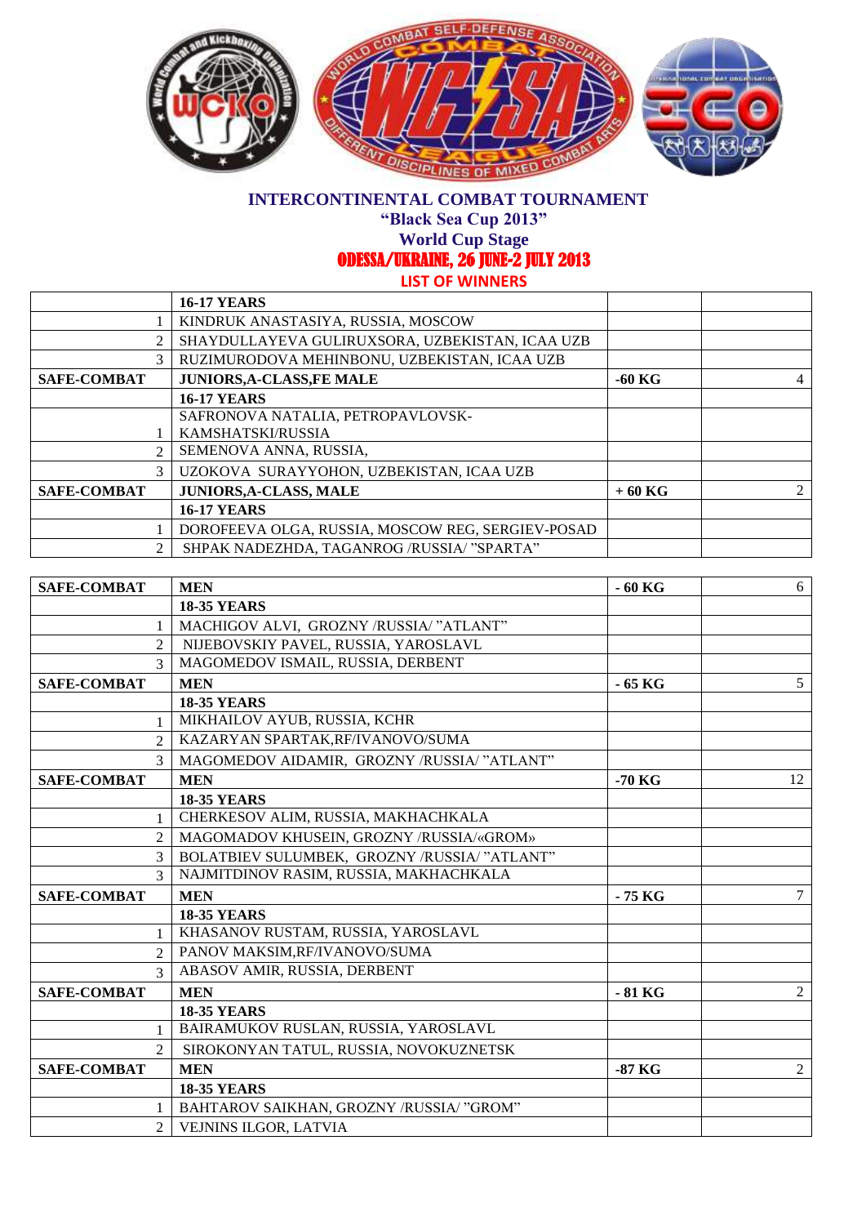

**"Black Sea Cup 2013"**

**World Cup Stage** 

ODESSA/UKRAINE, 26 JUNE-2 JULY 2013

|                    | <b>16-17 YEARS</b>                                |          |  |
|--------------------|---------------------------------------------------|----------|--|
|                    | KINDRUK ANASTASIYA, RUSSIA, MOSCOW                |          |  |
| $\mathfrak{D}$     | SHAYDULLAYEVA GULIRUXSORA, UZBEKISTAN, ICAA UZB   |          |  |
| 3                  | RUZIMURODOVA MEHINBONU, UZBEKISTAN, ICAA UZB      |          |  |
| <b>SAFE-COMBAT</b> | <b>JUNIORS, A-CLASS, FE MALE</b>                  | $-60$ KG |  |
|                    | <b>16-17 YEARS</b>                                |          |  |
|                    | SAFRONOVA NATALIA, PETROPAVLOVSK-                 |          |  |
|                    | KAMSHATSKI/RUSSIA                                 |          |  |
| $\mathfrak{D}$     | SEMENOVA ANNA, RUSSIA,                            |          |  |
| 3                  | UZOKOVA SURAYYOHON, UZBEKISTAN, ICAA UZB          |          |  |
| <b>SAFE-COMBAT</b> | <b>JUNIORS, A-CLASS, MALE</b>                     | $+60$ KG |  |
|                    | <b>16-17 YEARS</b>                                |          |  |
|                    | DOROFEEVA OLGA, RUSSIA, MOSCOW REG, SERGIEV-POSAD |          |  |
| $\mathfrak{D}$     | SHPAK NADEZHDA, TAGANROG /RUSSIA/ "SPARTA"        |          |  |

| <b>SAFE-COMBAT</b> | <b>MEN</b>                                   | $-60$ KG | 6  |
|--------------------|----------------------------------------------|----------|----|
|                    | <b>18-35 YEARS</b>                           |          |    |
| 1                  | MACHIGOV ALVI, GROZNY /RUSSIA/ "ATLANT"      |          |    |
| $\overline{2}$     | NIJEBOVSKIY PAVEL, RUSSIA, YAROSLAVL         |          |    |
| $\mathcal{R}$      | MAGOMEDOV ISMAIL, RUSSIA, DERBENT            |          |    |
| <b>SAFE-COMBAT</b> | <b>MEN</b>                                   | - 65 KG  | 5  |
|                    | <b>18-35 YEARS</b>                           |          |    |
| $\mathbf{1}$       | MIKHAILOV AYUB, RUSSIA, KCHR                 |          |    |
| $\overline{2}$     | KAZARYAN SPARTAK, RF/IVANOVO/SUMA            |          |    |
| 3                  | MAGOMEDOV AIDAMIR, GROZNY /RUSSIA/ "ATLANT"  |          |    |
| <b>SAFE-COMBAT</b> | <b>MEN</b>                                   | $-70$ KG | 12 |
|                    | <b>18-35 YEARS</b>                           |          |    |
| $\mathbf{1}$       | CHERKESOV ALIM, RUSSIA, MAKHACHKALA          |          |    |
| $\overline{2}$     | MAGOMADOV KHUSEIN, GROZNY /RUSSIA/«GROM»     |          |    |
| 3                  | BOLATBIEV SULUMBEK, GROZNY /RUSSIA/ "ATLANT" |          |    |
| $\mathcal{R}$      | NAJMITDINOV RASIM, RUSSIA, MAKHACHKALA       |          |    |
| <b>SAFE-COMBAT</b> | <b>MEN</b>                                   | - 75 KG  | 7  |
|                    | <b>18-35 YEARS</b>                           |          |    |
| $\mathbf{1}$       | KHASANOV RUSTAM, RUSSIA, YAROSLAVL           |          |    |
| 2                  | PANOV MAKSIM, RF/IVANOVO/SUMA                |          |    |
| $\mathcal{E}$      | ABASOV AMIR, RUSSIA, DERBENT                 |          |    |
| <b>SAFE-COMBAT</b> | <b>MEN</b>                                   | $-81$ KG | 2  |
|                    | <b>18-35 YEARS</b>                           |          |    |
| $\mathbf{1}$       | BAIRAMUKOV RUSLAN, RUSSIA, YAROSLAVL         |          |    |
| $\mathfrak{D}$     | SIROKONYAN TATUL, RUSSIA, NOVOKUZNETSK       |          |    |
| <b>SAFE-COMBAT</b> | <b>MEN</b>                                   | $-87$ KG | 2  |
|                    | <b>18-35 YEARS</b>                           |          |    |
| $\mathbf{1}$       | BAHTAROV SAIKHAN, GROZNY /RUSSIA/ "GROM"     |          |    |
| 2                  | VEJNINS ILGOR, LATVIA                        |          |    |